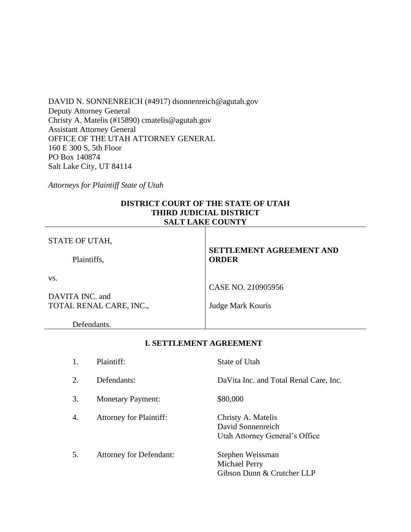DAVID N. SONNENREICH (#4917) dsonnenreich@agutah.gov Deputy Attorney General Christy A. Matelis (#15890) cmatelis@agutah.gov Assistant Attorney General OFFICE OF THE UTAH ATTORNEY GENERAL 160 E 300 S, 5th Floor PO Box 140874 Salt Lake City, UT 84114

*Attorneys for Plaintiff State of Utah*

## **DISTRICT COURT OF THE STATE OF UTAH THIRD JUDICIAL DISTRICT SALT LAKE COUNTY**

| STATE OF UTAH,          | <b>SETTLEMENT AGREEMENT AND</b> |  |
|-------------------------|---------------------------------|--|
| Plaintiffs,             | <b>ORDER</b>                    |  |
| VS.                     |                                 |  |
|                         | CASE NO. 210905956              |  |
| DAVITA INC. and         |                                 |  |
| TOTAL RENAL CARE, INC., | Judge Mark Kouris               |  |
| Defendants.             |                                 |  |

# **I. SETTLEMENT AGREEMENT**

| 1. | Plaintiff:                     | State of Utah                                                             |
|----|--------------------------------|---------------------------------------------------------------------------|
| 2. | Defendants:                    | Da Vita Inc. and Total Renal Care, Inc.                                   |
| 3. | <b>Monetary Payment:</b>       | \$80,000                                                                  |
| 4. | <b>Attorney for Plaintiff:</b> | Christy A. Matelis<br>David Sonnenreich<br>Utah Attorney General's Office |
| 5. | <b>Attorney for Defendant:</b> | Stephen Weissman<br>Michael Perry<br>Gibson Dunn & Crutcher LLP           |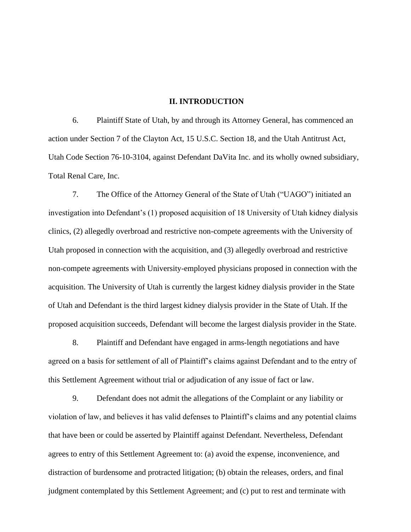#### **II. INTRODUCTION**

6. Plaintiff State of Utah, by and through its Attorney General, has commenced an action under Section 7 of the Clayton Act, 15 U.S.C. Section 18, and the Utah Antitrust Act, Utah Code Section 76-10-3104, against Defendant DaVita Inc. and its wholly owned subsidiary, Total Renal Care, Inc.

7. The Office of the Attorney General of the State of Utah ("UAGO") initiated an investigation into Defendant's (1) proposed acquisition of 18 University of Utah kidney dialysis clinics, (2) allegedly overbroad and restrictive non-compete agreements with the University of Utah proposed in connection with the acquisition, and (3) allegedly overbroad and restrictive non-compete agreements with University-employed physicians proposed in connection with the acquisition. The University of Utah is currently the largest kidney dialysis provider in the State of Utah and Defendant is the third largest kidney dialysis provider in the State of Utah. If the proposed acquisition succeeds, Defendant will become the largest dialysis provider in the State.

8. Plaintiff and Defendant have engaged in arms-length negotiations and have agreed on a basis for settlement of all of Plaintiff's claims against Defendant and to the entry of this Settlement Agreement without trial or adjudication of any issue of fact or law.

9. Defendant does not admit the allegations of the Complaint or any liability or violation of law, and believes it has valid defenses to Plaintiff's claims and any potential claims that have been or could be asserted by Plaintiff against Defendant. Nevertheless, Defendant agrees to entry of this Settlement Agreement to: (a) avoid the expense, inconvenience, and distraction of burdensome and protracted litigation; (b) obtain the releases, orders, and final judgment contemplated by this Settlement Agreement; and (c) put to rest and terminate with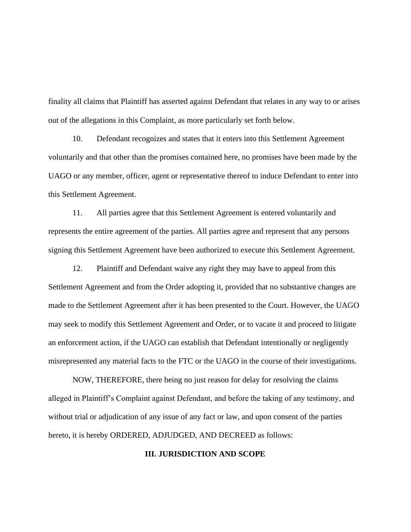finality all claims that Plaintiff has asserted against Defendant that relates in any way to or arises out of the allegations in this Complaint, as more particularly set forth below.

10. Defendant recognizes and states that it enters into this Settlement Agreement voluntarily and that other than the promises contained here, no promises have been made by the UAGO or any member, officer, agent or representative thereof to induce Defendant to enter into this Settlement Agreement.

11. All parties agree that this Settlement Agreement is entered voluntarily and represents the entire agreement of the parties. All parties agree and represent that any persons signing this Settlement Agreement have been authorized to execute this Settlement Agreement.

12. Plaintiff and Defendant waive any right they may have to appeal from this Settlement Agreement and from the Order adopting it, provided that no substantive changes are made to the Settlement Agreement after it has been presented to the Court. However, the UAGO may seek to modify this Settlement Agreement and Order, or to vacate it and proceed to litigate an enforcement action, if the UAGO can establish that Defendant intentionally or negligently misrepresented any material facts to the FTC or the UAGO in the course of their investigations.

NOW, THEREFORE, there being no just reason for delay for resolving the claims alleged in Plaintiff's Complaint against Defendant, and before the taking of any testimony, and without trial or adjudication of any issue of any fact or law, and upon consent of the parties hereto, it is hereby ORDERED, ADJUDGED, AND DECREED as follows:

### **III. JURISDICTION AND SCOPE**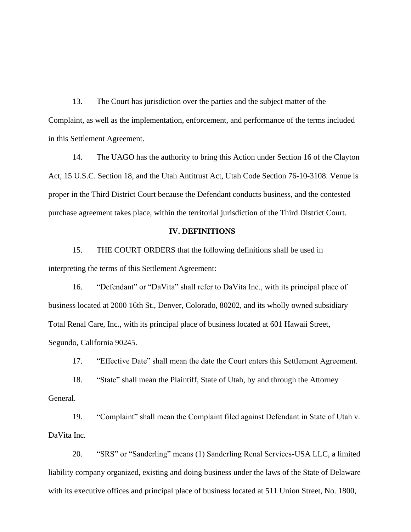13. The Court has jurisdiction over the parties and the subject matter of the Complaint, as well as the implementation, enforcement, and performance of the terms included in this Settlement Agreement.

14. The UAGO has the authority to bring this Action under Section 16 of the Clayton Act, 15 U.S.C. Section 18, and the Utah Antitrust Act, Utah Code Section 76-10-3108. Venue is proper in the Third District Court because the Defendant conducts business, and the contested purchase agreement takes place, within the territorial jurisdiction of the Third District Court.

#### **IV. DEFINITIONS**

15. THE COURT ORDERS that the following definitions shall be used in interpreting the terms of this Settlement Agreement:

16. "Defendant" or "DaVita" shall refer to DaVita Inc., with its principal place of business located at 2000 16th St., Denver, Colorado, 80202, and its wholly owned subsidiary Total Renal Care, Inc., with its principal place of business located at 601 Hawaii Street, Segundo, California 90245.

17. "Effective Date" shall mean the date the Court enters this Settlement Agreement.

18. "State" shall mean the Plaintiff, State of Utah, by and through the Attorney General.

19. "Complaint" shall mean the Complaint filed against Defendant in State of Utah v. DaVita Inc.

20. "SRS" or "Sanderling" means (1) Sanderling Renal Services-USA LLC, a limited liability company organized, existing and doing business under the laws of the State of Delaware with its executive offices and principal place of business located at 511 Union Street, No. 1800,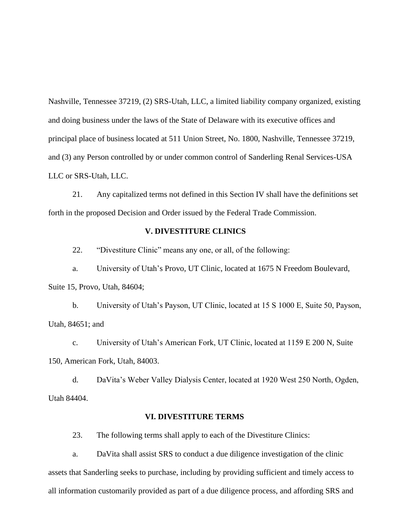Nashville, Tennessee 37219, (2) SRS-Utah, LLC, a limited liability company organized, existing and doing business under the laws of the State of Delaware with its executive offices and principal place of business located at 511 Union Street, No. 1800, Nashville, Tennessee 37219, and (3) any Person controlled by or under common control of Sanderling Renal Services-USA LLC or SRS-Utah, LLC.

21. Any capitalized terms not defined in this Section IV shall have the definitions set forth in the proposed Decision and Order issued by the Federal Trade Commission.

### **V. DIVESTITURE CLINICS**

22. "Divestiture Clinic" means any one, or all, of the following:

a. University of Utah's Provo, UT Clinic, located at 1675 N Freedom Boulevard, Suite 15, Provo, Utah, 84604;

b. University of Utah's Payson, UT Clinic, located at 15 S 1000 E, Suite 50, Payson, Utah, 84651; and

c. University of Utah's American Fork, UT Clinic, located at 1159 E 200 N, Suite 150, American Fork, Utah, 84003.

d. DaVita's Weber Valley Dialysis Center, located at 1920 West 250 North, Ogden, Utah 84404.

#### **VI. DIVESTITURE TERMS**

23. The following terms shall apply to each of the Divestiture Clinics:

a. DaVita shall assist SRS to conduct a due diligence investigation of the clinic assets that Sanderling seeks to purchase, including by providing sufficient and timely access to all information customarily provided as part of a due diligence process, and affording SRS and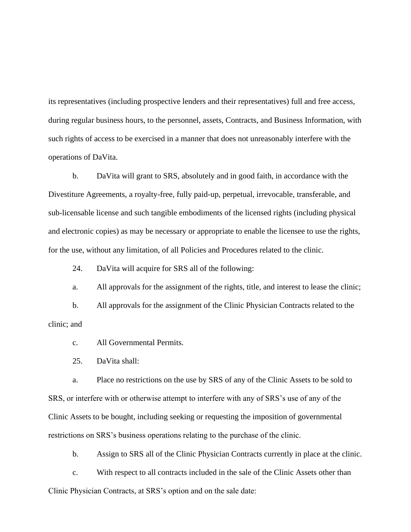its representatives (including prospective lenders and their representatives) full and free access, during regular business hours, to the personnel, assets, Contracts, and Business Information, with such rights of access to be exercised in a manner that does not unreasonably interfere with the operations of DaVita.

b. DaVita will grant to SRS, absolutely and in good faith, in accordance with the Divestiture Agreements, a royalty-free, fully paid-up, perpetual, irrevocable, transferable, and sub-licensable license and such tangible embodiments of the licensed rights (including physical and electronic copies) as may be necessary or appropriate to enable the licensee to use the rights, for the use, without any limitation, of all Policies and Procedures related to the clinic.

24. DaVita will acquire for SRS all of the following:

a. All approvals for the assignment of the rights, title, and interest to lease the clinic;

b. All approvals for the assignment of the Clinic Physician Contracts related to the clinic; and

c. All Governmental Permits.

25. DaVita shall:

a. Place no restrictions on the use by SRS of any of the Clinic Assets to be sold to SRS, or interfere with or otherwise attempt to interfere with any of SRS's use of any of the Clinic Assets to be bought, including seeking or requesting the imposition of governmental restrictions on SRS's business operations relating to the purchase of the clinic.

b. Assign to SRS all of the Clinic Physician Contracts currently in place at the clinic.

c. With respect to all contracts included in the sale of the Clinic Assets other than Clinic Physician Contracts, at SRS's option and on the sale date: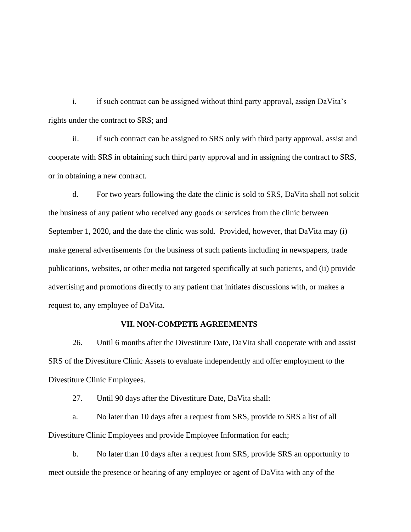i. if such contract can be assigned without third party approval, assign DaVita's rights under the contract to SRS; and

ii. if such contract can be assigned to SRS only with third party approval, assist and cooperate with SRS in obtaining such third party approval and in assigning the contract to SRS, or in obtaining a new contract.

d. For two years following the date the clinic is sold to SRS, DaVita shall not solicit the business of any patient who received any goods or services from the clinic between September 1, 2020, and the date the clinic was sold. Provided, however, that DaVita may (i) make general advertisements for the business of such patients including in newspapers, trade publications, websites, or other media not targeted specifically at such patients, and (ii) provide advertising and promotions directly to any patient that initiates discussions with, or makes a request to, any employee of DaVita.

### **VII. NON-COMPETE AGREEMENTS**

26. Until 6 months after the Divestiture Date, DaVita shall cooperate with and assist SRS of the Divestiture Clinic Assets to evaluate independently and offer employment to the Divestiture Clinic Employees.

27. Until 90 days after the Divestiture Date, DaVita shall:

a. No later than 10 days after a request from SRS, provide to SRS a list of all Divestiture Clinic Employees and provide Employee Information for each;

b. No later than 10 days after a request from SRS, provide SRS an opportunity to meet outside the presence or hearing of any employee or agent of DaVita with any of the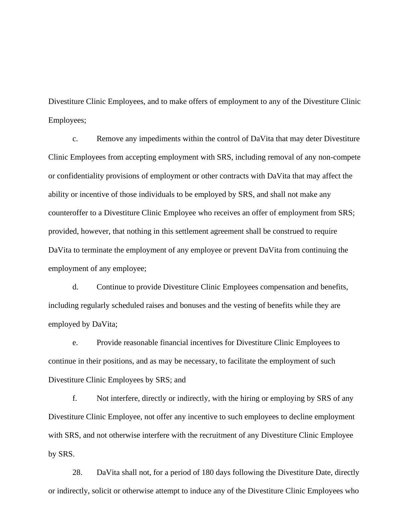Divestiture Clinic Employees, and to make offers of employment to any of the Divestiture Clinic Employees;

c. Remove any impediments within the control of DaVita that may deter Divestiture Clinic Employees from accepting employment with SRS, including removal of any non-compete or confidentiality provisions of employment or other contracts with DaVita that may affect the ability or incentive of those individuals to be employed by SRS, and shall not make any counteroffer to a Divestiture Clinic Employee who receives an offer of employment from SRS; provided, however, that nothing in this settlement agreement shall be construed to require DaVita to terminate the employment of any employee or prevent DaVita from continuing the employment of any employee;

d. Continue to provide Divestiture Clinic Employees compensation and benefits, including regularly scheduled raises and bonuses and the vesting of benefits while they are employed by DaVita;

e. Provide reasonable financial incentives for Divestiture Clinic Employees to continue in their positions, and as may be necessary, to facilitate the employment of such Divestiture Clinic Employees by SRS; and

f. Not interfere, directly or indirectly, with the hiring or employing by SRS of any Divestiture Clinic Employee, not offer any incentive to such employees to decline employment with SRS, and not otherwise interfere with the recruitment of any Divestiture Clinic Employee by SRS.

28. DaVita shall not, for a period of 180 days following the Divestiture Date, directly or indirectly, solicit or otherwise attempt to induce any of the Divestiture Clinic Employees who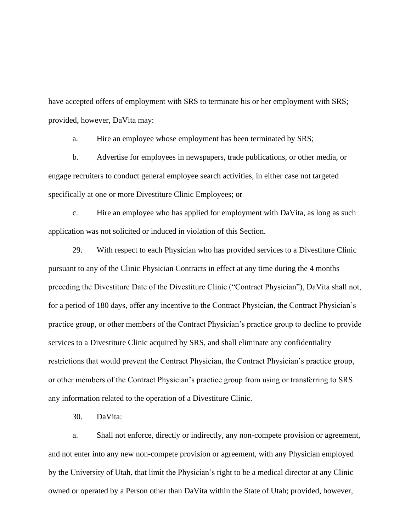have accepted offers of employment with SRS to terminate his or her employment with SRS; provided, however, DaVita may:

a. Hire an employee whose employment has been terminated by SRS;

b. Advertise for employees in newspapers, trade publications, or other media, or engage recruiters to conduct general employee search activities, in either case not targeted specifically at one or more Divestiture Clinic Employees; or

c. Hire an employee who has applied for employment with DaVita, as long as such application was not solicited or induced in violation of this Section.

29. With respect to each Physician who has provided services to a Divestiture Clinic pursuant to any of the Clinic Physician Contracts in effect at any time during the 4 months preceding the Divestiture Date of the Divestiture Clinic ("Contract Physician"), DaVita shall not, for a period of 180 days, offer any incentive to the Contract Physician, the Contract Physician's practice group, or other members of the Contract Physician's practice group to decline to provide services to a Divestiture Clinic acquired by SRS, and shall eliminate any confidentiality restrictions that would prevent the Contract Physician, the Contract Physician's practice group, or other members of the Contract Physician's practice group from using or transferring to SRS any information related to the operation of a Divestiture Clinic.

30. DaVita:

a. Shall not enforce, directly or indirectly, any non-compete provision or agreement, and not enter into any new non-compete provision or agreement, with any Physician employed by the University of Utah, that limit the Physician's right to be a medical director at any Clinic owned or operated by a Person other than DaVita within the State of Utah; provided, however,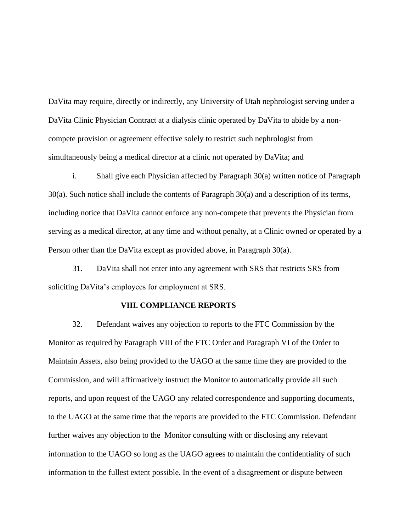DaVita may require, directly or indirectly, any University of Utah nephrologist serving under a DaVita Clinic Physician Contract at a dialysis clinic operated by DaVita to abide by a noncompete provision or agreement effective solely to restrict such nephrologist from simultaneously being a medical director at a clinic not operated by DaVita; and

i. Shall give each Physician affected by Paragraph 30(a) written notice of Paragraph 30(a). Such notice shall include the contents of Paragraph 30(a) and a description of its terms, including notice that DaVita cannot enforce any non-compete that prevents the Physician from serving as a medical director, at any time and without penalty, at a Clinic owned or operated by a Person other than the DaVita except as provided above, in Paragraph 30(a).

31. DaVita shall not enter into any agreement with SRS that restricts SRS from soliciting DaVita's employees for employment at SRS.

#### **VIII. COMPLIANCE REPORTS**

32. Defendant waives any objection to reports to the FTC Commission by the Monitor as required by Paragraph VIII of the FTC Order and Paragraph VI of the Order to Maintain Assets, also being provided to the UAGO at the same time they are provided to the Commission, and will affirmatively instruct the Monitor to automatically provide all such reports, and upon request of the UAGO any related correspondence and supporting documents, to the UAGO at the same time that the reports are provided to the FTC Commission. Defendant further waives any objection to the Monitor consulting with or disclosing any relevant information to the UAGO so long as the UAGO agrees to maintain the confidentiality of such information to the fullest extent possible. In the event of a disagreement or dispute between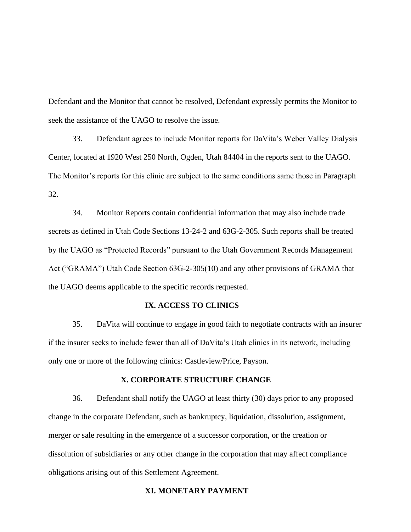Defendant and the Monitor that cannot be resolved, Defendant expressly permits the Monitor to seek the assistance of the UAGO to resolve the issue.

33. Defendant agrees to include Monitor reports for DaVita's Weber Valley Dialysis Center, located at 1920 West 250 North, Ogden, Utah 84404 in the reports sent to the UAGO. The Monitor's reports for this clinic are subject to the same conditions same those in Paragraph 32.

34. Monitor Reports contain confidential information that may also include trade secrets as defined in Utah Code Sections 13-24-2 and 63G-2-305. Such reports shall be treated by the UAGO as "Protected Records" pursuant to the Utah Government Records Management Act ("GRAMA") Utah Code Section 63G-2-305(10) and any other provisions of GRAMA that the UAGO deems applicable to the specific records requested.

### **IX. ACCESS TO CLINICS**

35. DaVita will continue to engage in good faith to negotiate contracts with an insurer if the insurer seeks to include fewer than all of DaVita's Utah clinics in its network, including only one or more of the following clinics: Castleview/Price, Payson.

#### **X. CORPORATE STRUCTURE CHANGE**

36. Defendant shall notify the UAGO at least thirty (30) days prior to any proposed change in the corporate Defendant, such as bankruptcy, liquidation, dissolution, assignment, merger or sale resulting in the emergence of a successor corporation, or the creation or dissolution of subsidiaries or any other change in the corporation that may affect compliance obligations arising out of this Settlement Agreement.

## **XI. MONETARY PAYMENT**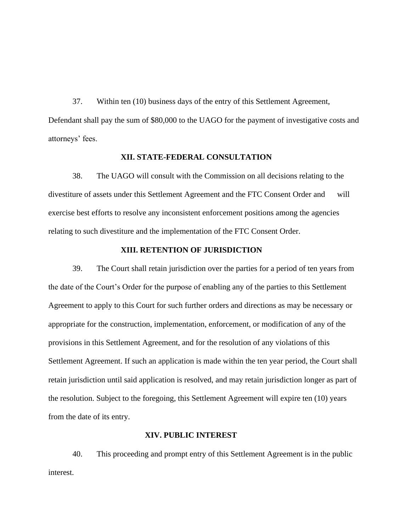37. Within ten (10) business days of the entry of this Settlement Agreement, Defendant shall pay the sum of \$80,000 to the UAGO for the payment of investigative costs and attorneys' fees.

### **XII. STATE-FEDERAL CONSULTATION**

38. The UAGO will consult with the Commission on all decisions relating to the divestiture of assets under this Settlement Agreement and the FTC Consent Order and will exercise best efforts to resolve any inconsistent enforcement positions among the agencies relating to such divestiture and the implementation of the FTC Consent Order.

#### **XIII. RETENTION OF JURISDICTION**

39. The Court shall retain jurisdiction over the parties for a period of ten years from the date of the Court's Order for the purpose of enabling any of the parties to this Settlement Agreement to apply to this Court for such further orders and directions as may be necessary or appropriate for the construction, implementation, enforcement, or modification of any of the provisions in this Settlement Agreement, and for the resolution of any violations of this Settlement Agreement. If such an application is made within the ten year period, the Court shall retain jurisdiction until said application is resolved, and may retain jurisdiction longer as part of the resolution. Subject to the foregoing, this Settlement Agreement will expire ten (10) years from the date of its entry.

### **XIV. PUBLIC INTEREST**

40. This proceeding and prompt entry of this Settlement Agreement is in the public interest.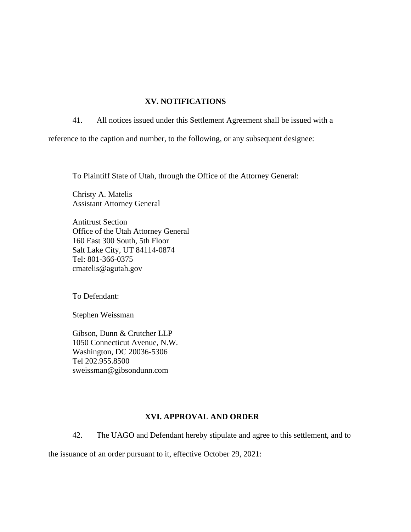## **XV. NOTIFICATIONS**

41. All notices issued under this Settlement Agreement shall be issued with a

reference to the caption and number, to the following, or any subsequent designee:

To Plaintiff State of Utah, through the Office of the Attorney General:

Christy A. Matelis Assistant Attorney General

Antitrust Section Office of the Utah Attorney General 160 East 300 South, 5th Floor Salt Lake City, UT 84114-0874 Tel: 801-366-0375 cmatelis@agutah.gov

To Defendant:

Stephen Weissman

Gibson, Dunn & Crutcher LLP 1050 Connecticut Avenue, N.W. Washington, DC 20036-5306 Tel 202.955.8500 sweissman@gibsondunn.com

### **XVI. APPROVAL AND ORDER**

42. The UAGO and Defendant hereby stipulate and agree to this settlement, and to

the issuance of an order pursuant to it, effective October 29, 2021: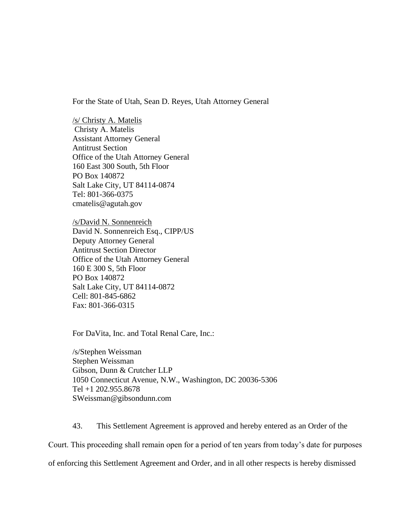For the State of Utah, Sean D. Reyes, Utah Attorney General

/s/ Christy A. Matelis Christy A. Matelis Assistant Attorney General Antitrust Section Office of the Utah Attorney General 160 East 300 South, 5th Floor PO Box 140872 Salt Lake City, UT 84114-0874 Tel: 801-366-0375 cmatelis@agutah.gov

/s/David N. Sonnenreich David N. Sonnenreich Esq., CIPP/US Deputy Attorney General Antitrust Section Director Office of the Utah Attorney General 160 E 300 S, 5th Floor PO Box 140872 Salt Lake City, UT 84114-0872 Cell: 801-845-6862 Fax: 801-366-0315

For DaVita, Inc. and Total Renal Care, Inc.:

/s/Stephen Weissman Stephen Weissman Gibson, Dunn & Crutcher LLP 1050 Connecticut Avenue, N.W., Washington, DC 20036-5306 Tel +1 202.955.8678 SWeissman@gibsondunn.com

43. This Settlement Agreement is approved and hereby entered as an Order of the Court. This proceeding shall remain open for a period of ten years from today's date for purposes of enforcing this Settlement Agreement and Order, and in all other respects is hereby dismissed